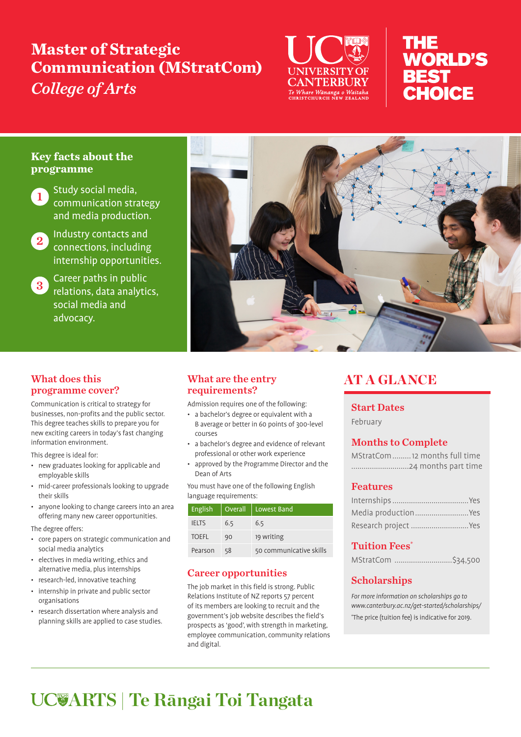# **Master of Strategic Communication (MStratCom)**  *College of Arts*



# THE **WORLD'S BEST** CHOICE

#### **Key facts about the programme**



Study social media, communication strategy and media production.



2 Industry contacts and connections, including internship opportunities.

**3** Career paths in public relations, data analytics, social media and advocacy.



#### What does this programme cover?

Communication is critical to strategy for businesses, non-profits and the public sector. This degree teaches skills to prepare you for new exciting careers in today's fast changing information environment.

This degree is ideal for:

- new graduates looking for applicable and employable skills
- mid-career professionals looking to upgrade their skills
- anyone looking to change careers into an area offering many new career opportunities.

The degree offers:

- core papers on strategic communication and social media analytics
- electives in media writing, ethics and alternative media, plus internships
- research-led, innovative teaching
- internship in private and public sector organisations
- research dissertation where analysis and planning skills are applied to case studies.

#### What are the entry requirements?

Admission requires one of the following:

- a bachelor's degree or equivalent with a B average or better in 60 points of 300-level courses
- a bachelor's degree and evidence of relevant professional or other work experience
- approved by the Programme Director and the Dean of Arts

You must have one of the following English language requirements:

| English      | <b>Overall</b> | Lowest Band             |
|--------------|----------------|-------------------------|
| <b>IELTS</b> | 6.5            | 6.5                     |
| <b>TOEFL</b> | 90             | 19 writing              |
| Pearson      | 58             | 50 communicative skills |

## Career opportunities

The job market in this field is strong. Public Relations Institute of NZ reports 57 percent of its members are looking to recruit and the government's job website describes the field's prospects as 'good', with strength in marketing, employee communication, community relations and digital.

# AT A GLANCE

#### Start Dates

February

# Months to Complete

MStratCom.........12 months full time ............................24 months part time

## Features

| Media productionYes  |  |
|----------------------|--|
| Research project Yes |  |

# Tuition Fees\*

| MStratCom \$34,500 |
|--------------------|
|                    |

# **Scholarships**

For more information on scholarships go to www.canterbury.ac.nz/get-started/scholarships/

\* The price (tuition fee) is indicative for 2019.

# **ARTS | Te Rāngai Toi Tangata**